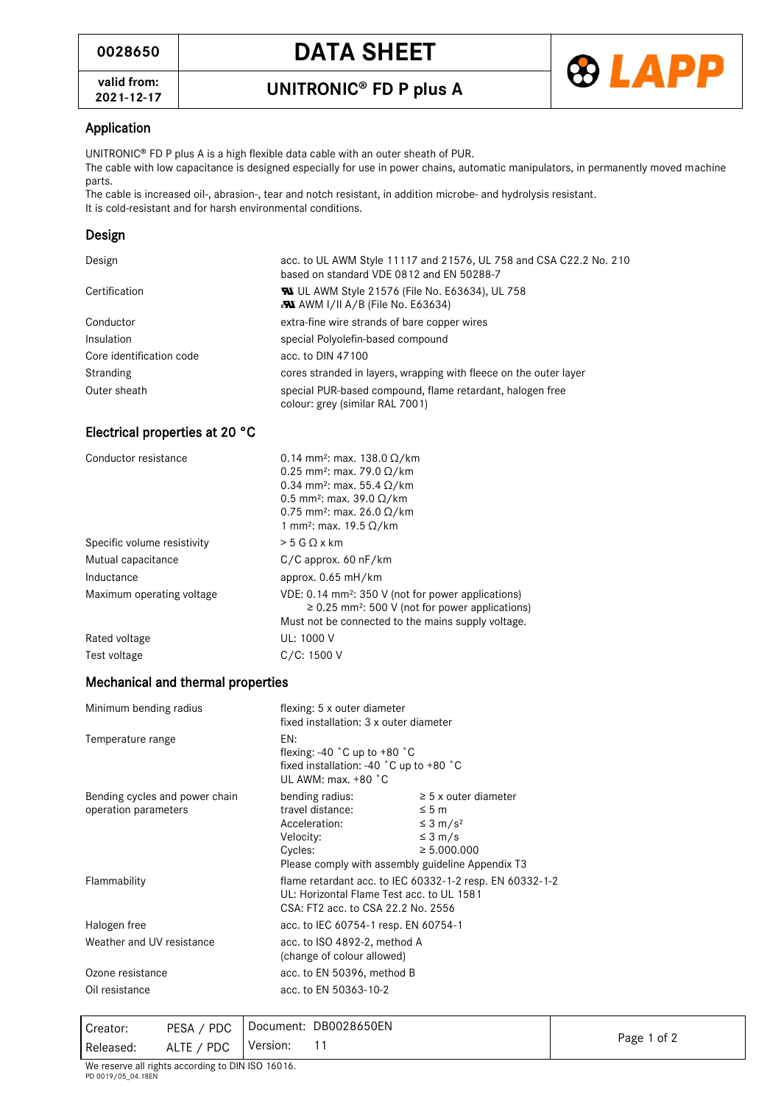**valid from:**



## Application

UNITRONIC<sup>®</sup> FD P plus A is a high flexible data cable with an outer sheath of PUR.

The cable with low capacitance is designed especially for use in power chains, automatic manipulators, in permanently moved machine parts.

The cable is increased oil-, abrasion-, tear and notch resistant, in addition microbe- and hydrolysis resistant. It is cold-resistant and for harsh environmental conditions.

## Design

| Design                   | acc. to UL AWM Style 11117 and 21576, UL 758 and CSA C22.2 No. 210<br>based on standard VDE 0812 and EN 50288-7 |  |
|--------------------------|-----------------------------------------------------------------------------------------------------------------|--|
| Certification            | <b>W</b> UL AWM Style 21576 (File No. E63634), UL 758<br><b>PM</b> AWM I/II A/B (File No. E63634)               |  |
| Conductor                | extra-fine wire strands of bare copper wires                                                                    |  |
| <b>Insulation</b>        | special Polyolefin-based compound                                                                               |  |
| Core identification code | acc. to DIN 47100                                                                                               |  |
| Stranding                | cores stranded in layers, wrapping with fleece on the outer layer                                               |  |
| Outer sheath             | special PUR-based compound, flame retardant, halogen free<br>colour: grey (similar RAL 7001)                    |  |

#### Electrical properties at 20 °C

| Conductor resistance        | 0.14 mm <sup>2</sup> : max. 138.0 $\Omega$ /km<br>0.25 mm <sup>2</sup> : max. 79.0 $\Omega$ /km<br>0.34 mm <sup>2</sup> : max. 55.4 $\Omega$ /km<br>0.5 mm <sup>2</sup> : max. 39.0 $\Omega$ /km<br>0.75 mm <sup>2</sup> : max. 26.0 $\Omega$ /km<br>1 mm <sup>2</sup> : max. 19.5 $\Omega$ /km |
|-----------------------------|-------------------------------------------------------------------------------------------------------------------------------------------------------------------------------------------------------------------------------------------------------------------------------------------------|
| Specific volume resistivity | $> 5$ G Q x km                                                                                                                                                                                                                                                                                  |
| Mutual capacitance          | $C/C$ approx. 60 nF/km                                                                                                                                                                                                                                                                          |
| Inductance                  | approx. $0.65$ mH/km                                                                                                                                                                                                                                                                            |
| Maximum operating voltage   | VDE: 0.14 mm <sup>2</sup> : 350 V (not for power applications)<br>$\geq$ 0.25 mm <sup>2</sup> : 500 V (not for power applications)<br>Must not be connected to the mains supply voltage.                                                                                                        |
| Rated voltage               | UL: 1000 V                                                                                                                                                                                                                                                                                      |
| Test voltage                | C/C: 1500 V                                                                                                                                                                                                                                                                                     |

#### Mechanical and thermal properties

| Minimum bending radius                                 | flexing: 5 x outer diameter<br>fixed installation: 3 x outer diameter                                                                                     |                                                                                                                  |
|--------------------------------------------------------|-----------------------------------------------------------------------------------------------------------------------------------------------------------|------------------------------------------------------------------------------------------------------------------|
| Temperature range                                      | EN:<br>flexing: -40 $^{\circ}$ C up to +80 $^{\circ}$ C<br>fixed installation: -40 $^{\circ}$ C up to +80 $^{\circ}$ C<br>UL AWM: max. $+80$ $^{\circ}$ C |                                                                                                                  |
| Bending cycles and power chain<br>operation parameters | bending radius:<br>travel distance:<br>Acceleration:<br>Velocity:<br>Cycles:<br>Please comply with assembly guideline Appendix T3                         | $\geq$ 5 x outer diameter<br>$\leq 5$ m<br>$\leq$ 3 m/s <sup>2</sup><br>$\leq 3 \text{ m/s}$<br>$\geq 5.000.000$ |
| Flammability                                           | flame retardant acc. to IEC 60332-1-2 resp. EN 60332-1-2<br>UL: Horizontal Flame Test acc. to UL 1581<br>CSA: FT2 acc. to CSA 22.2 No. 2556               |                                                                                                                  |
| Halogen free                                           | acc. to IEC 60754-1 resp. EN 60754-1                                                                                                                      |                                                                                                                  |
| Weather and UV resistance                              | acc. to ISO 4892-2, method A<br>(change of colour allowed)                                                                                                |                                                                                                                  |
| Ozone resistance                                       | acc. to EN 50396, method B                                                                                                                                |                                                                                                                  |
| Oil resistance                                         | acc. to EN 50363-10-2                                                                                                                                     |                                                                                                                  |

| Creator:  | PESA / PDC | Document: DB0028650EN |             |
|-----------|------------|-----------------------|-------------|
| Released: | ALTE / PDC | Version:              | Page 1 of 2 |
| .<br>.    |            |                       |             |